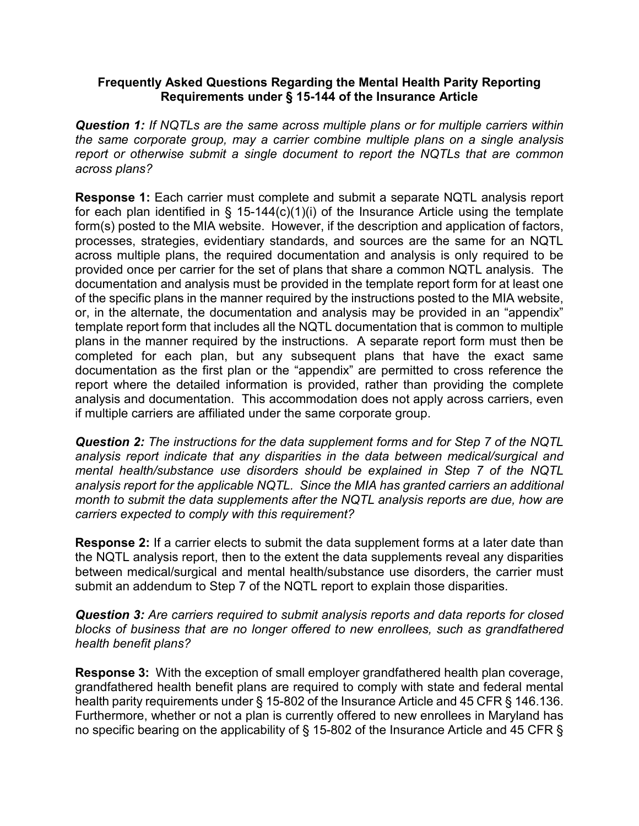## **Frequently Asked Questions Regarding the Mental Health Parity Reporting Requirements under § 15-144 of the Insurance Article**

*Question 1: If NQTLs are the same across multiple plans or for multiple carriers within the same corporate group, may a carrier combine multiple plans on a single analysis report or otherwise submit a single document to report the NQTLs that are common across plans?*

**Response 1:** Each carrier must complete and submit a separate NQTL analysis report for each plan identified in § 15-144(c)(1)(i) of the Insurance Article using the template form(s) posted to the MIA website. However, if the description and application of factors, processes, strategies, evidentiary standards, and sources are the same for an NQTL across multiple plans, the required documentation and analysis is only required to be provided once per carrier for the set of plans that share a common NQTL analysis. The documentation and analysis must be provided in the template report form for at least one of the specific plans in the manner required by the instructions posted to the MIA website, or, in the alternate, the documentation and analysis may be provided in an "appendix" template report form that includes all the NQTL documentation that is common to multiple plans in the manner required by the instructions. A separate report form must then be completed for each plan, but any subsequent plans that have the exact same documentation as the first plan or the "appendix" are permitted to cross reference the report where the detailed information is provided, rather than providing the complete analysis and documentation. This accommodation does not apply across carriers, even if multiple carriers are affiliated under the same corporate group.

*Question 2: The instructions for the data supplement forms and for Step 7 of the NQTL analysis report indicate that any disparities in the data between medical/surgical and mental health/substance use disorders should be explained in Step 7 of the NQTL analysis report for the applicable NQTL. Since the MIA has granted carriers an additional month to submit the data supplements after the NQTL analysis reports are due, how are carriers expected to comply with this requirement?*

**Response 2:** If a carrier elects to submit the data supplement forms at a later date than the NQTL analysis report, then to the extent the data supplements reveal any disparities between medical/surgical and mental health/substance use disorders, the carrier must submit an addendum to Step 7 of the NQTL report to explain those disparities.

*Question 3: Are carriers required to submit analysis reports and data reports for closed blocks of business that are no longer offered to new enrollees, such as grandfathered health benefit plans?*

**Response 3:** With the exception of small employer grandfathered health plan coverage, grandfathered health benefit plans are required to comply with state and federal mental health parity requirements under § 15-802 of the Insurance Article and 45 CFR § 146.136. Furthermore, whether or not a plan is currently offered to new enrollees in Maryland has no specific bearing on the applicability of § 15-802 of the Insurance Article and 45 CFR §